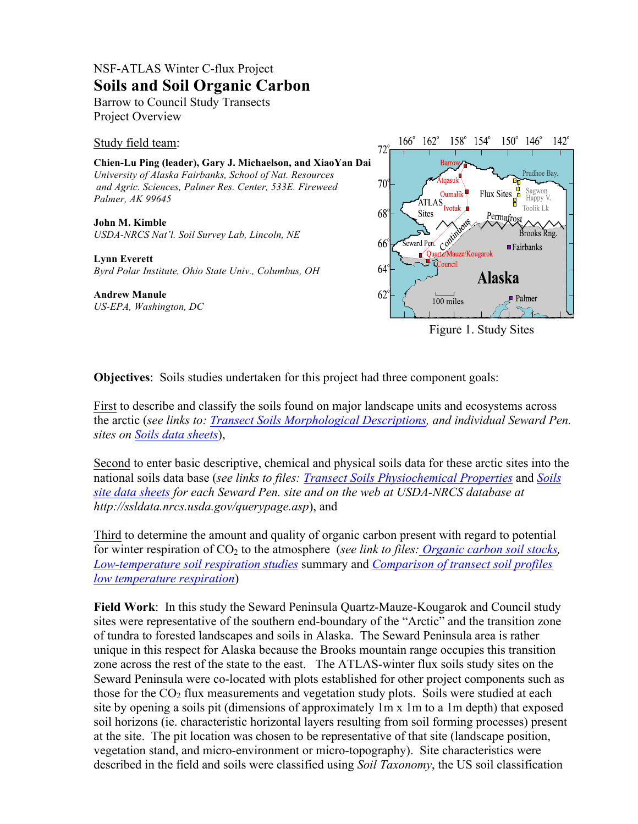## NSF-ATLAS Winter C-flux Project **Soils and Soil Organic Carbon**

Barrow to Council Study Transects Project Overview

Study field team:

**Chien-Lu Ping (leader), Gary J. Michaelson, and XiaoYan Dai** *University of Alaska Fairbanks, School of Nat. Resources and Agric. Sciences, Palmer Res. Center, 533E. Fireweed Palmer, AK 99645*

**John M. Kimble** *USDA-NRCS Nat'l. Soil Survey Lab, Lincoln, NE*

**Lynn Everett** *Byrd Polar Institute, Ohio State Univ., Columbus, OH*

## **Andrew Manule** *US-EPA, Washington, DC*



Figure 1. Study Sites

**Objectives**: Soils studies undertaken for this project had three component goals:

First to describe and classify the soils found on major landscape units and ecosystems across the arctic (*see links to: Transect Soils Morphological Descriptions, and individual Seward Pen. sites on Soils data sheets*),

Second to enter basic descriptive, chemical and physical soils data for these arctic sites into the national soils data base (*see links to files: Transect Soils Physiochemical Properties* and *Soils site data sheets for each Seward Pen. site and on the web at USDA-NRCS database at http://ssldata.nrcs.usda.gov/querypage.asp*), and

Third to determine the amount and quality of organic carbon present with regard to potential for winter respiration of CO2 to the atmosphere (*see link to files: Organic carbon soil stocks, Low-temperature soil respiration studies* summary and *Comparison of transect soil profiles low temperature respiration*)

**Field Work**: In this study the Seward Peninsula Quartz-Mauze-Kougarok and Council study sites were representative of the southern end-boundary of the "Arctic" and the transition zone of tundra to forested landscapes and soils in Alaska. The Seward Peninsula area is rather unique in this respect for Alaska because the Brooks mountain range occupies this transition zone across the rest of the state to the east. The ATLAS-winter flux soils study sites on the Seward Peninsula were co-located with plots established for other project components such as those for the  $CO<sub>2</sub>$  flux measurements and vegetation study plots. Soils were studied at each site by opening a soils pit (dimensions of approximately 1m x 1m to a 1m depth) that exposed soil horizons (ie. characteristic horizontal layers resulting from soil forming processes) present at the site. The pit location was chosen to be representative of that site (landscape position, vegetation stand, and micro-environment or micro-topography). Site characteristics were described in the field and soils were classified using *Soil Taxonomy*, the US soil classification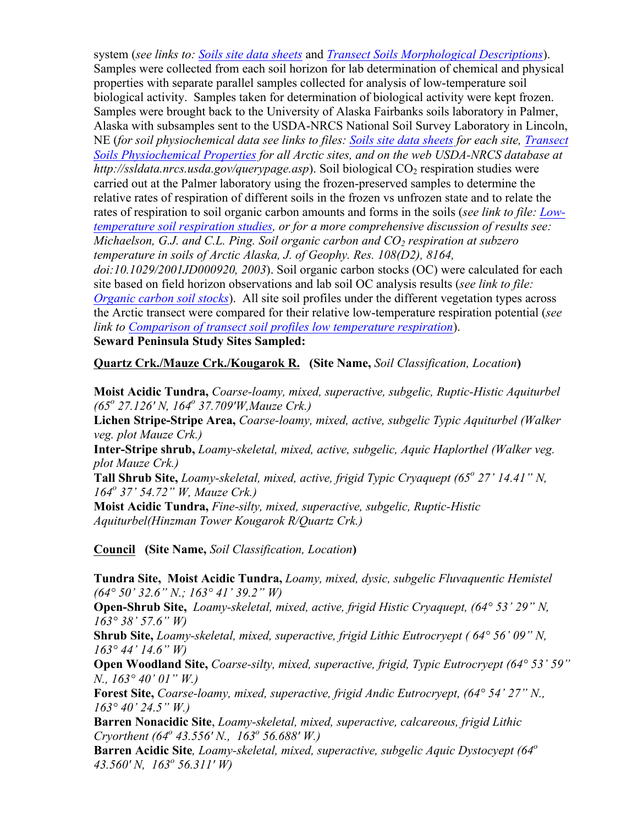system (*see links to: Soils site data sheets* and *Transect Soils Morphological Descriptions*). Samples were collected from each soil horizon for lab determination of chemical and physical properties with separate parallel samples collected for analysis of low-temperature soil biological activity. Samples taken for determination of biological activity were kept frozen. Samples were brought back to the University of Alaska Fairbanks soils laboratory in Palmer, Alaska with subsamples sent to the USDA-NRCS National Soil Survey Laboratory in Lincoln, NE (*for soil physiochemical data see links to files: Soils site data sheets for each site, Transect Soils Physiochemical Properties for all Arctic sites, and on the web USDA-NRCS database at http://ssldata.nrcs.usda.gov/querypage.asp*). Soil biological CO<sub>2</sub> respiration studies were carried out at the Palmer laboratory using the frozen-preserved samples to determine the relative rates of respiration of different soils in the frozen vs unfrozen state and to relate the rates of respiration to soil organic carbon amounts and forms in the soils (*see link to file: Lowtemperature soil respiration studies, or for a more comprehensive discussion of results see: Michaelson, G.J. and C.L. Ping. Soil organic carbon and CO<sub>2</sub> respiration at subzero temperature in soils of Arctic Alaska, J. of Geophy. Res. 108(D2), 8164, doi:10.1029/2001JD000920, 2003*). Soil organic carbon stocks (OC) were calculated for each site based on field horizon observations and lab soil OC analysis results (*see link to file: Organic carbon soil stocks*). All site soil profiles under the different vegetation types across the Arctic transect were compared for their relative low-temperature respiration potential (*see link to Comparison of transect soil profiles low temperature respiration*).

**Seward Peninsula Study Sites Sampled:**

**Quartz Crk./Mauze Crk./Kougarok R. (Site Name,** *Soil Classification, Location***)**

**Moist Acidic Tundra,** *Coarse-loamy, mixed, superactive, subgelic, Ruptic-Histic Aquiturbel (65<sup>o</sup> 27.126' N, 164o 37.709'W,Mauze Crk.)*

**Lichen Stripe-Stripe Area,** *Coarse-loamy, mixed, active, subgelic Typic Aquiturbel (Walker veg. plot Mauze Crk.)*

**Inter-Stripe shrub,** *Loamy-skeletal, mixed, active, subgelic, Aquic Haplorthel (Walker veg. plot Mauze Crk.)*

**Tall Shrub Site,** *Loamy-skeletal, mixed, active, frigid Typic Cryaquept (65<sup>o</sup> 27' 14.41" N, 164o 37' 54.72" W, Mauze Crk.)*

**Moist Acidic Tundra,** *Fine-silty, mixed, superactive, subgelic, Ruptic-Histic Aquiturbel(Hinzman Tower Kougarok R/Quartz Crk.)*

**Council (Site Name,** *Soil Classification, Location***)**

**Tundra Site, Moist Acidic Tundra,** *Loamy, mixed, dysic, subgelic Fluvaquentic Hemistel (64° 50' 32.6" N.; 163° 41' 39.2" W)*

**Open-Shrub Site,** *Loamy-skeletal, mixed, active, frigid Histic Cryaquept, (64° 53' 29" N, 163° 38' 57.6" W)*

**Shrub Site,** *Loamy-skeletal, mixed, superactive, frigid Lithic Eutrocryept ( 64° 56' 09" N, 163° 44' 14.6" W)*

**Open Woodland Site,** *Coarse-silty, mixed, superactive, frigid, Typic Eutrocryept (64° 53' 59" N., 163° 40' 01" W.)*

**Forest Site,** *Coarse-loamy, mixed, superactive, frigid Andic Eutrocryept, (64° 54' 27" N., 163° 40' 24.5" W.)*

**Barren Nonacidic Site**, *Loamy-skeletal, mixed, superactive, calcareous, frigid Lithic Cryorthent (64<sup>o</sup> 43.556' N., 163o 56.688' W.)*

**Barren Acidic Site***, Loamy-skeletal, mixed, superactive, subgelic Aquic Dystocyept (64<sup>o</sup> 43.560' N, 163o 56.311' W)*